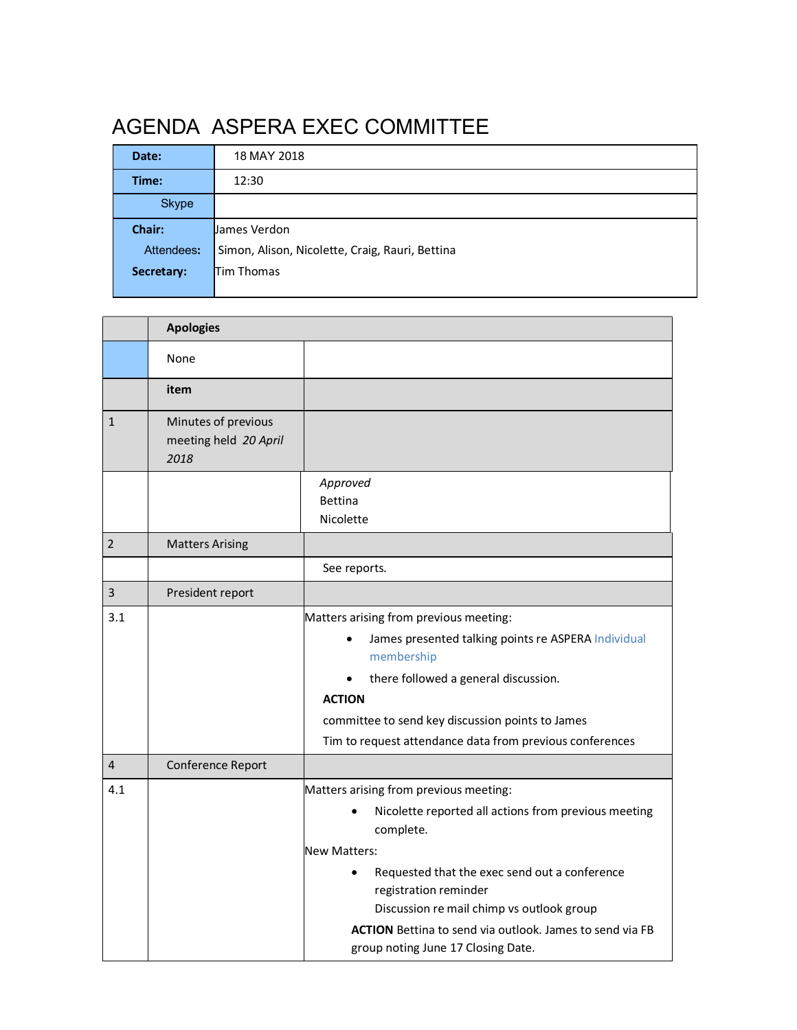# AGENDA ASPERA EXEC COMMITTEE

| Date:        | 18 MAY 2018                                     |
|--------------|-------------------------------------------------|
| Time:        | 12:30                                           |
| <b>Skype</b> |                                                 |
| Chair:       | lJames Verdon                                   |
| Attendees:   | Simon, Alison, Nicolette, Craig, Rauri, Bettina |
| Secretary:   | Tim Thomas                                      |
|              |                                                 |

<u> 1980 - Johann Barbara, martxa alemaniar amerikan a</u>

|                | <b>Apologies</b>                                     |                                                                                                       |  |
|----------------|------------------------------------------------------|-------------------------------------------------------------------------------------------------------|--|
|                | None                                                 |                                                                                                       |  |
|                | item                                                 |                                                                                                       |  |
| $\mathbf{1}$   | Minutes of previous<br>meeting held 20 April<br>2018 |                                                                                                       |  |
|                |                                                      | Approved                                                                                              |  |
|                |                                                      | <b>Bettina</b>                                                                                        |  |
|                |                                                      | Nicolette                                                                                             |  |
| $\overline{2}$ | <b>Matters Arising</b>                               |                                                                                                       |  |
|                |                                                      | See reports.                                                                                          |  |
| 3              | President report                                     |                                                                                                       |  |
| 3.1            |                                                      | Matters arising from previous meeting:                                                                |  |
|                |                                                      | James presented talking points re ASPERA Individual<br>membership                                     |  |
|                |                                                      | there followed a general discussion.                                                                  |  |
|                |                                                      | <b>ACTION</b>                                                                                         |  |
|                |                                                      | committee to send key discussion points to James                                                      |  |
|                |                                                      | Tim to request attendance data from previous conferences                                              |  |
| 4              | Conference Report                                    |                                                                                                       |  |
| 4.1            |                                                      | Matters arising from previous meeting:                                                                |  |
|                |                                                      | Nicolette reported all actions from previous meeting                                                  |  |
|                |                                                      | complete.                                                                                             |  |
|                |                                                      | <b>New Matters:</b>                                                                                   |  |
|                |                                                      | Requested that the exec send out a conference<br>registration reminder                                |  |
|                |                                                      | Discussion re mail chimp vs outlook group                                                             |  |
|                |                                                      | <b>ACTION</b> Bettina to send via outlook. James to send via FB<br>group noting June 17 Closing Date. |  |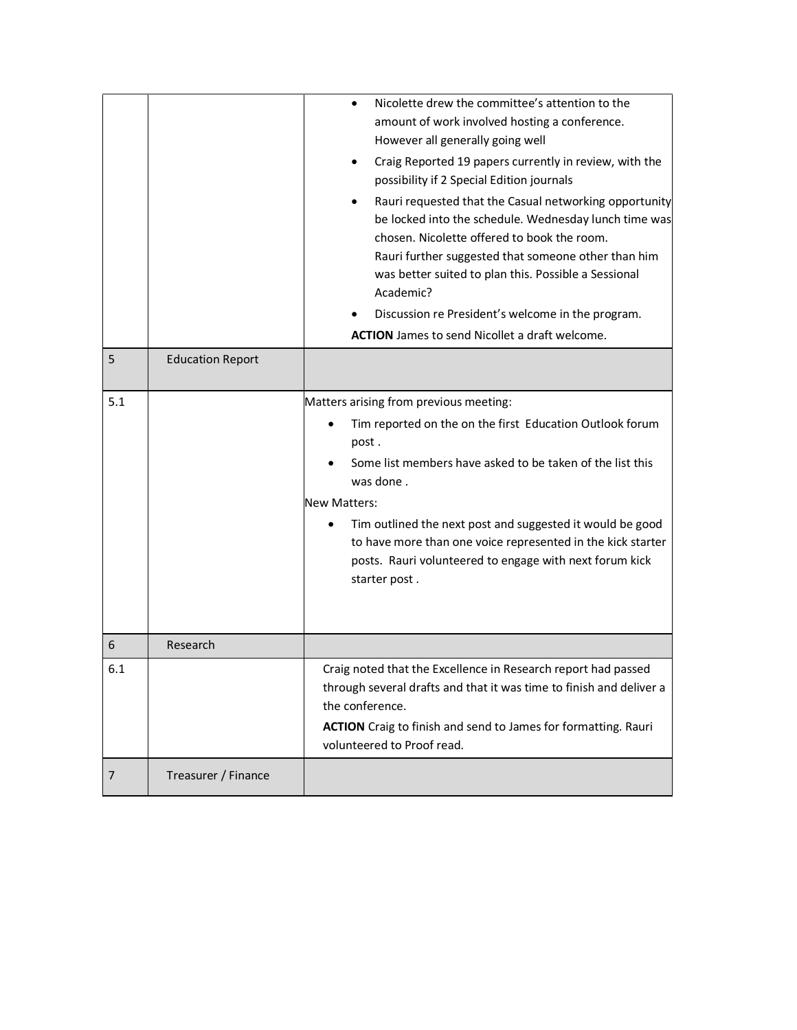|     |                         | Nicolette drew the committee's attention to the<br>amount of work involved hosting a conference.<br>However all generally going well<br>Craig Reported 19 papers currently in review, with the<br>possibility if 2 Special Edition journals<br>Rauri requested that the Casual networking opportunity<br>be locked into the schedule. Wednesday lunch time was<br>chosen. Nicolette offered to book the room.<br>Rauri further suggested that someone other than him<br>was better suited to plan this. Possible a Sessional<br>Academic?<br>Discussion re President's welcome in the program.<br><b>ACTION</b> James to send Nicollet a draft welcome. |
|-----|-------------------------|---------------------------------------------------------------------------------------------------------------------------------------------------------------------------------------------------------------------------------------------------------------------------------------------------------------------------------------------------------------------------------------------------------------------------------------------------------------------------------------------------------------------------------------------------------------------------------------------------------------------------------------------------------|
| 5   | <b>Education Report</b> |                                                                                                                                                                                                                                                                                                                                                                                                                                                                                                                                                                                                                                                         |
| 5.1 |                         | Matters arising from previous meeting:<br>Tim reported on the on the first Education Outlook forum<br>post.<br>Some list members have asked to be taken of the list this<br>was done.<br><b>New Matters:</b><br>Tim outlined the next post and suggested it would be good<br>to have more than one voice represented in the kick starter<br>posts. Rauri volunteered to engage with next forum kick<br>starter post.                                                                                                                                                                                                                                    |
| 6   | Research                |                                                                                                                                                                                                                                                                                                                                                                                                                                                                                                                                                                                                                                                         |
| 6.1 |                         | Craig noted that the Excellence in Research report had passed<br>through several drafts and that it was time to finish and deliver a<br>the conference.<br><b>ACTION</b> Craig to finish and send to James for formatting. Rauri<br>volunteered to Proof read.                                                                                                                                                                                                                                                                                                                                                                                          |
| 7   | Treasurer / Finance     |                                                                                                                                                                                                                                                                                                                                                                                                                                                                                                                                                                                                                                                         |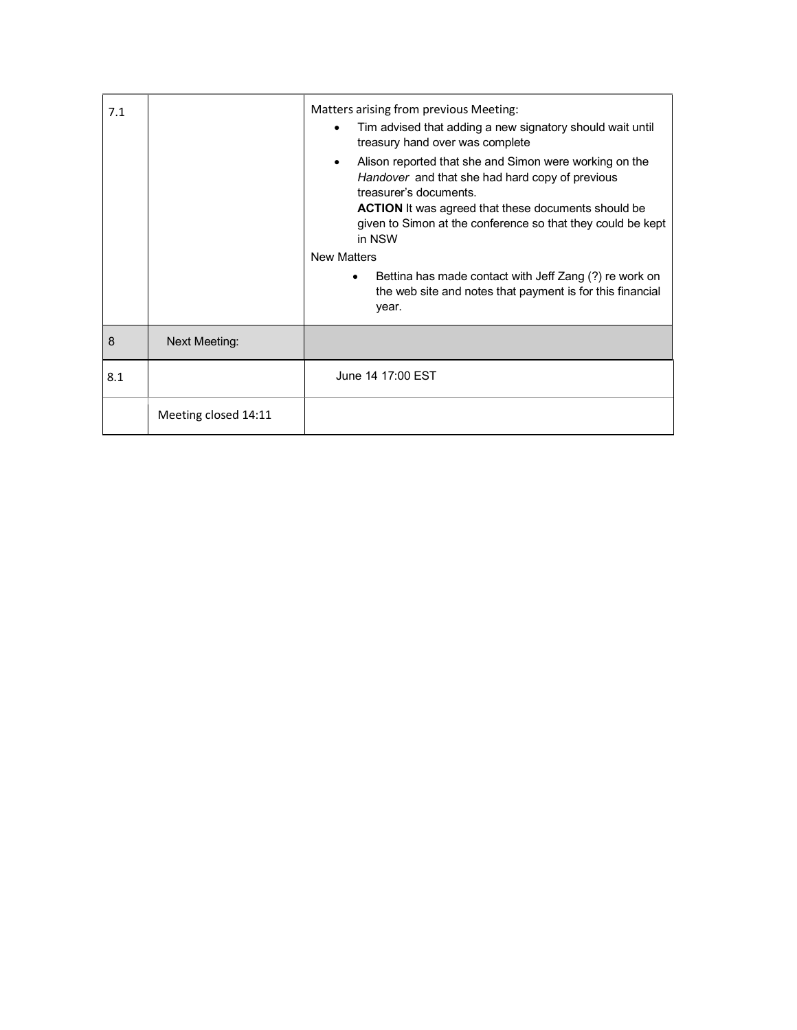| 7.1 |                      | Matters arising from previous Meeting:<br>Tim advised that adding a new signatory should wait until<br>treasury hand over was complete<br>Alison reported that she and Simon were working on the<br>$\bullet$<br>Handover and that she had hard copy of previous<br>treasurer's documents.<br><b>ACTION</b> It was agreed that these documents should be<br>given to Simon at the conference so that they could be kept<br>in NSW<br><b>New Matters</b><br>Bettina has made contact with Jeff Zang (?) re work on<br>the web site and notes that payment is for this financial<br>year. |
|-----|----------------------|-----------------------------------------------------------------------------------------------------------------------------------------------------------------------------------------------------------------------------------------------------------------------------------------------------------------------------------------------------------------------------------------------------------------------------------------------------------------------------------------------------------------------------------------------------------------------------------------|
| 8   | Next Meeting:        |                                                                                                                                                                                                                                                                                                                                                                                                                                                                                                                                                                                         |
| 8.1 |                      | June 14 17:00 EST                                                                                                                                                                                                                                                                                                                                                                                                                                                                                                                                                                       |
|     | Meeting closed 14:11 |                                                                                                                                                                                                                                                                                                                                                                                                                                                                                                                                                                                         |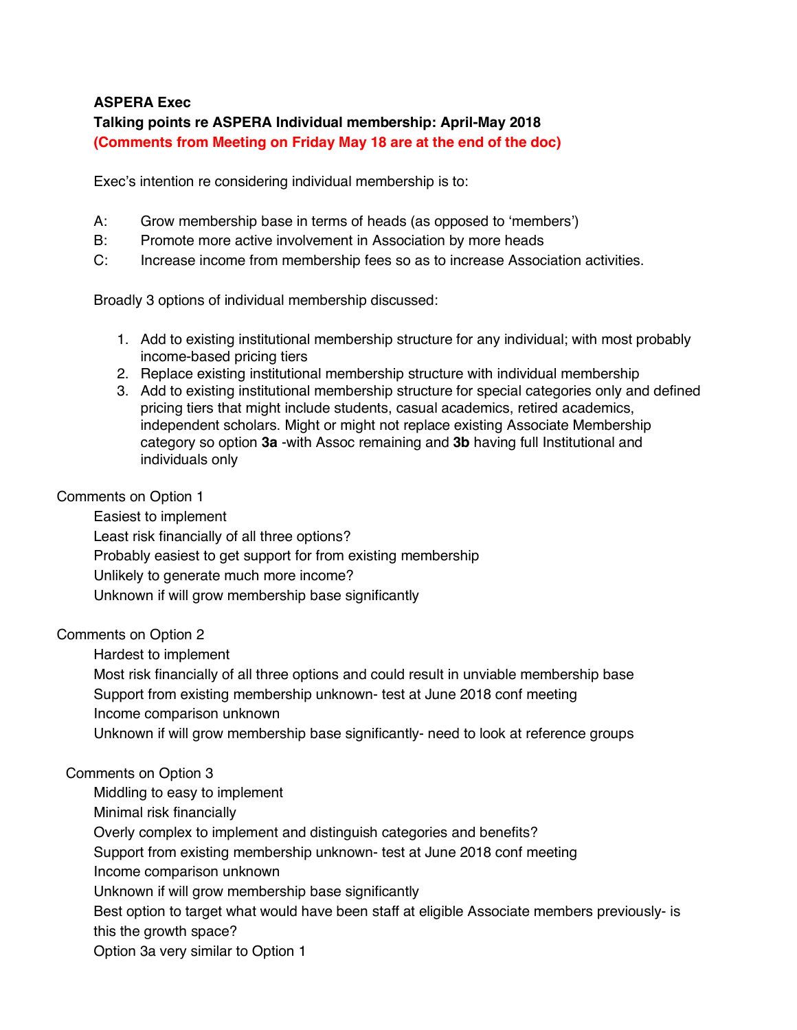## **ASPERA Exec**

## **Talking points re ASPERA Individual membership: April-May 2018 (Comments from Meeting on Friday May 18 are at the end of the doc)**

Exec's intention re considering individual membership is to:

- A: Grow membership base in terms of heads (as opposed to 'members')
- B: Promote more active involvement in Association by more heads
- C: Increase income from membership fees so as to increase Association activities.

Broadly 3 options of individual membership discussed:

- 1. Add to existing institutional membership structure for any individual; with most probably income-based pricing tiers
- 2. Replace existing institutional membership structure with individual membership
- 3. Add to existing institutional membership structure for special categories only and defined pricing tiers that might include students, casual academics, retired academics, independent scholars. Might or might not replace existing Associate Membership category so option **3a** -with Assoc remaining and **3b** having full Institutional and individuals only

## Comments on Option 1

Easiest to implement Least risk financially of all three options? Probably easiest to get support for from existing membership Unlikely to generate much more income? Unknown if will grow membership base significantly

## Comments on Option 2

Hardest to implement

Most risk financially of all three options and could result in unviable membership base Support from existing membership unknown- test at June 2018 conf meeting Income comparison unknown

Unknown if will grow membership base significantly- need to look at reference groups

## Comments on Option 3

Middling to easy to implement

Minimal risk financially

Overly complex to implement and distinguish categories and benefits?

Support from existing membership unknown- test at June 2018 conf meeting

Income comparison unknown

Unknown if will grow membership base significantly

Best option to target what would have been staff at eligible Associate members previously- is this the growth space?

Option 3a very similar to Option 1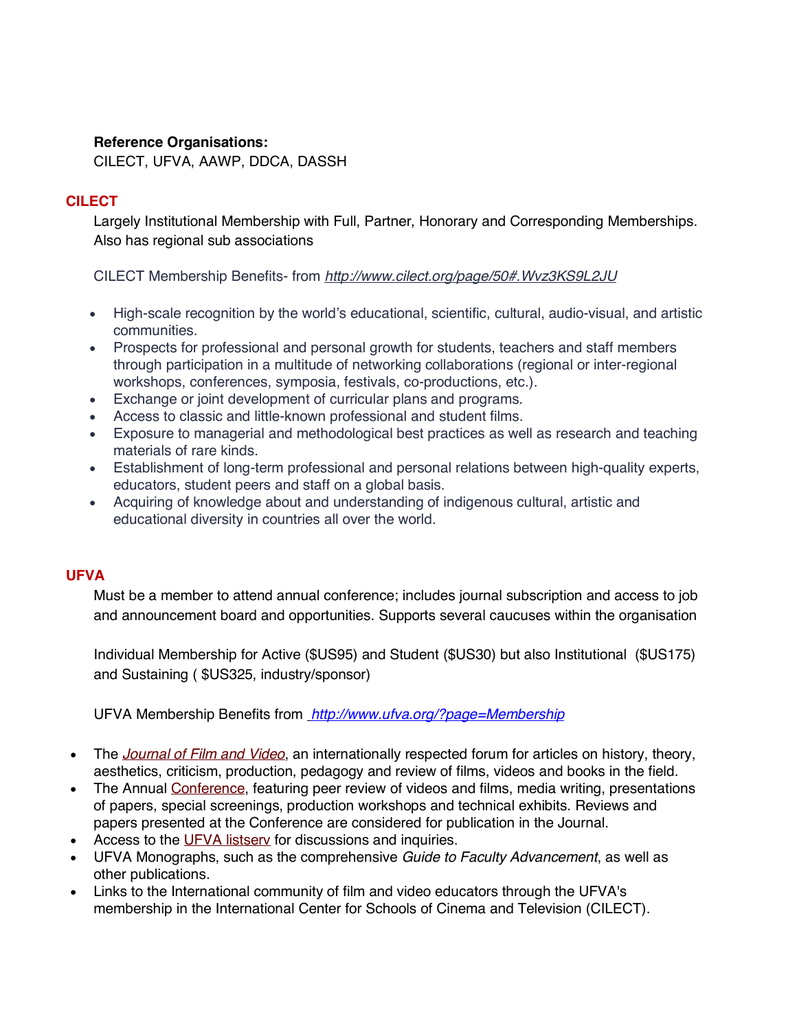## **Reference Organisations:**

CILECT, UFVA, AAWP, DDCA, DASSH

## **CILECT**

Largely Institutional Membership with Full, Partner, Honorary and Corresponding Memberships. Also has regional sub associations

CILECT Membership Benefits- from *http://www.cilect.org/page/50#.Wvz3KS9L2JU*

- High-scale recognition by the world's educational, scientific, cultural, audio-visual, and artistic communities.
- Prospects for professional and personal growth for students, teachers and staff members through participation in a multitude of networking collaborations (regional or inter-regional workshops, conferences, symposia, festivals, co-productions, etc.).
- Exchange or joint development of curricular plans and programs.
- Access to classic and little-known professional and student films.
- Exposure to managerial and methodological best practices as well as research and teaching materials of rare kinds.
- Establishment of long-term professional and personal relations between high-quality experts, educators, student peers and staff on a global basis.
- Acquiring of knowledge about and understanding of indigenous cultural, artistic and educational diversity in countries all over the world.

## **UFVA**

Must be a member to attend annual conference; includes journal subscription and access to job and announcement board and opportunities. Supports several caucuses within the organisation

Individual Membership for Active (\$US95) and Student (\$US30) but also Institutional (\$US175) and Sustaining ( \$US325, industry/sponsor)

UFVA Membership Benefits from *http://www.ufva.org/?page=Membership*

- The *Journal of Film and Video*, an internationally respected forum for articles on history, theory, aesthetics, criticism, production, pedagogy and review of films, videos and books in the field.
- The Annual Conference, featuring peer review of videos and films, media writing, presentations of papers, special screenings, production workshops and technical exhibits. Reviews and papers presented at the Conference are considered for publication in the Journal.
- Access to the UFVA listsery for discussions and inquiries.
- UFVA Monographs, such as the comprehensive *Guide to Faculty Advancement*, as well as other publications.
- Links to the International community of film and video educators through the UFVA's membership in the International Center for Schools of Cinema and Television (CILECT).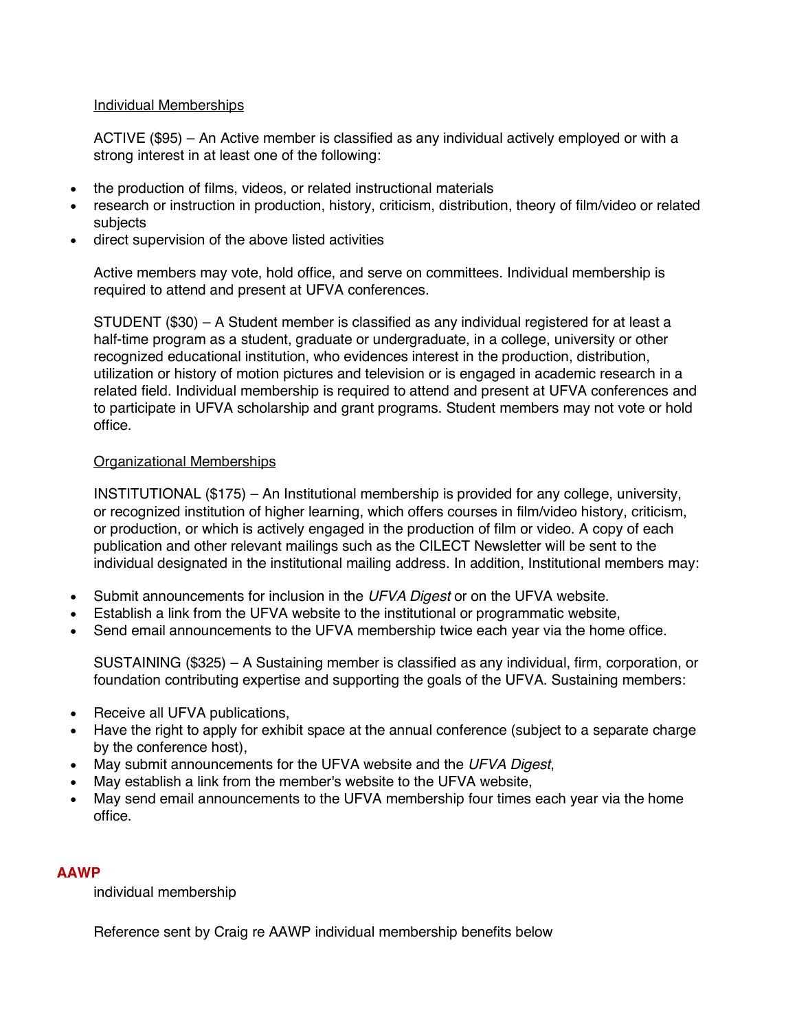#### Individual Memberships

ACTIVE (\$95) – An Active member is classified as any individual actively employed or with a strong interest in at least one of the following:

- the production of films, videos, or related instructional materials
- research or instruction in production, history, criticism, distribution, theory of film/video or related subjects
- direct supervision of the above listed activities

Active members may vote, hold office, and serve on committees. Individual membership is required to attend and present at UFVA conferences.

STUDENT (\$30) – A Student member is classified as any individual registered for at least a half-time program as a student, graduate or undergraduate, in a college, university or other recognized educational institution, who evidences interest in the production, distribution, utilization or history of motion pictures and television or is engaged in academic research in a related field. Individual membership is required to attend and present at UFVA conferences and to participate in UFVA scholarship and grant programs. Student members may not vote or hold office.

#### Organizational Memberships

INSTITUTIONAL (\$175) – An Institutional membership is provided for any college, university, or recognized institution of higher learning, which offers courses in film/video history, criticism, or production, or which is actively engaged in the production of film or video. A copy of each publication and other relevant mailings such as the CILECT Newsletter will be sent to the individual designated in the institutional mailing address. In addition, Institutional members may:

- Submit announcements for inclusion in the *UFVA Digest* or on the UFVA website.
- Establish a link from the UFVA website to the institutional or programmatic website,
- Send email announcements to the UFVA membership twice each year via the home office.

SUSTAINING (\$325) – A Sustaining member is classified as any individual, firm, corporation, or foundation contributing expertise and supporting the goals of the UFVA. Sustaining members:

- Receive all UFVA publications,
- Have the right to apply for exhibit space at the annual conference (subject to a separate charge by the conference host),
- May submit announcements for the UFVA website and the *UFVA Digest*,
- May establish a link from the member's website to the UFVA website,
- May send email announcements to the UFVA membership four times each year via the home office.

#### **AAWP**

individual membership

Reference sent by Craig re AAWP individual membership benefits below